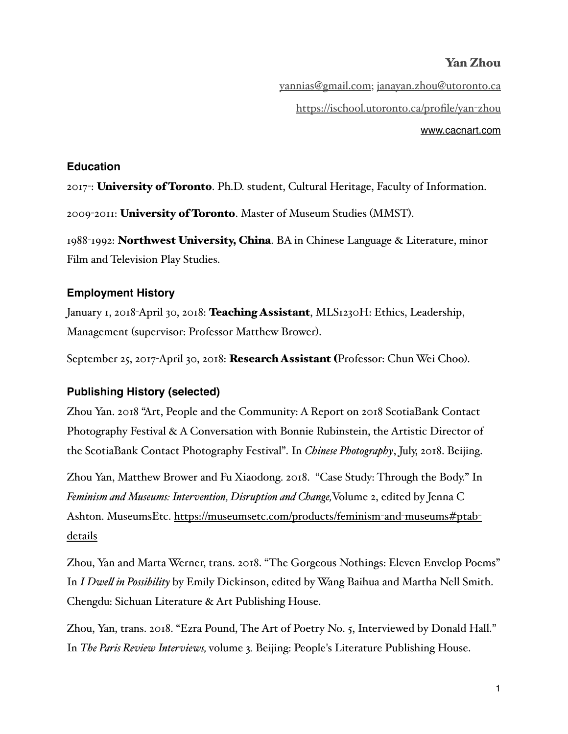[yannias@gmail.com](mailto:yannias@gmail.com); [janayan.zhou@utoronto.ca](mailto:janayan.zhou@utoronto.ca) [https://ischool.utoronto.ca/profile/yan](https://ischool.utoronto.ca/profile/yan-zhou)-zhou

[www.cacnart.com](http://www.cacnart.com)

### **Education**

2017: University of Toronto. Ph.D. student, Cultural Heritage, Faculty of Information.

2009-2011: University of Toronto. Master of Museum Studies (MMST).

1988-1992: Northwest University, China. BA in Chinese Language & Literature, minor Film and Television Play Studies.

# **Employment History**

January 1, 2018-April 30, 2018: **Teaching Assistant**, MLS1230H: Ethics, Leadership, Management (supervisor: Professor Matthew Brower).

September 25, 2017-April 30, 2018: Research Assistant (Professor: Chun Wei Choo).

### **Publishing History (selected)**

Zhou Yan. 2018 "Art, People and the Community: A Report on 2018 ScotiaBank Contact Photography Festival & A Conversation with Bonnie Rubinstein, the Artistic Director of the ScotiaBank Contact Photography Festival". In *Chinese Photography*, July, 2018. Beijing.

Zhou Yan, Matthew Brower and Fu Xiaodong. 2018. "Case Study: Through the Body." In *Feminism and Museums: Intervention, Disruption and Change,*Volume 2, edited by Jenna C [Ashton. MuseumsEtc. https://museumsetc.com/products/feminism](https://museumsetc.com/products/feminism-and-museums#ptab-details)-and-museums#ptabdetails

Zhou, Yan and Marta Werner, trans. 2018. "The Gorgeous Nothings: Eleven Envelop Poems" In *I Dwel in Possibility* by Emily Dickinson, edited by Wang Baihua and Martha Nell Smith. Chengdu: Sichuan Literature & Art Publishing House.

Zhou, Yan, trans. 2018. "Ezra Pound, The Art of Poetry No. 5, Interviewed by Donald Hall." In *The Paris Review Interviews,* volume 3*.* Beijing: People's Literature Publishing House.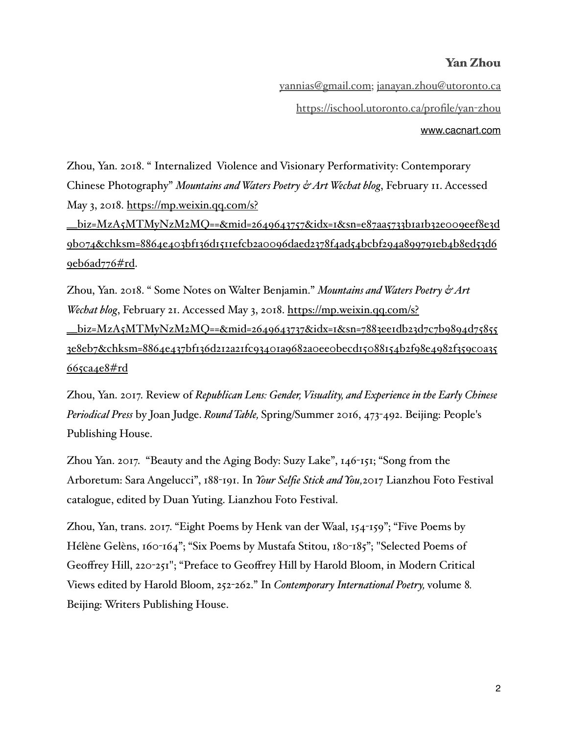[yannias@gmail.com](mailto:yannias@gmail.com); [janayan.zhou@utoronto.ca](mailto:janayan.zhou@utoronto.ca) [https://ischool.utoronto.ca/profile/yan](https://ischool.utoronto.ca/profile/yan-zhou)-zhou [www.cacnart.com](http://www.cacnart.com)

Zhou, Yan. 2018. " Internalized Violence and Visionary Performativity: Contemporary Chinese Photography" *Mountains and Waters Poetry & Art Wechat blog*, February 11. Accessed May 3, 2018. https://mp.weixin.qq.com/s?

[\\_\\_biz=MzA5MTMyNzM2MQ==&mid=2649643757&idx=1&sn=e87aa5733b1a1b32e009eef8e3d](https://mp.weixin.qq.com/s?__biz=MzA5MTMyNzM2MQ==&mid=2649643757&idx=1&sn=e87aa5733b1a1b32e009eef8e3d9b074&chksm=8864e403bf136d1511efcb2a0096daed2378f4ad54bcbf294a899791eb4b8ed53d69eb6ad776#rd) 9b074&chksm=8864e403bf136d1511efcb2a0096daed2378f4ad54bcbf294a899791eb4b8ed53d6 9eb6ad776#rd.

Zhou, Yan. 2018. " Some Notes on Walter Benjamin." *Mountains and Waters Poetry & Art Wechat blog*, February 21. Accessed May 3, 2018. https://mp.weixin.qq.com/s? [\\_\\_biz=MzA5MTMyNzM2MQ==&mid=2649643737&idx=1&sn=7883ee1db23d7c7b9894d75855](https://mp.weixin.qq.com/s?__biz=MzA5MTMyNzM2MQ==&mid=2649643737&idx=1&sn=7883ee1db23d7c7b9894d758553e8eb7&chksm=8864e437bf136d212a21fc93401a9682a0ee0becd15088154b2f98e4982f359c0a35665ca4e8#rd) 3e8eb7&chksm=8864e437bf136d212a21fc93401a9682a0ee0becd15088154b2f98e4982f359c0a35 665ca4e8#rd

Zhou, Yan. 2017. Review of *Republican Lens: Gender, Visuality, and Experience in the Early Chinese Periodical Press* by Joan Judge. *Round Table,* Spring/Summer 2016, 473-492. Beijing: People's Publishing House.

Zhou Yan. 2017. "Beauty and the Aging Body: Suzy Lake", 146-151; "Song from the Arboretum: Sara Angelucci", 188-191. In *Your Selfie Stick and You,*2017 Lianzhou Foto Festival catalogue, edited by Duan Yuting. Lianzhou Foto Festival.

Zhou, Yan, trans. 2017. "Eight Poems by Henk van der Waal, 154-159"; "Five Poems by Hélène Gelèns, 160-164"; "Six Poems by Mustafa Stitou, 180-185"; "Selected Poems of Geoffrey Hill, 220-251"; "Preface to Geoffrey Hill by Harold Bloom, in Modern Critical Views edited by Harold Bloom, 252-262." In *Contemporary International Poetry,* volume 8*.* Beijing: Writers Publishing House.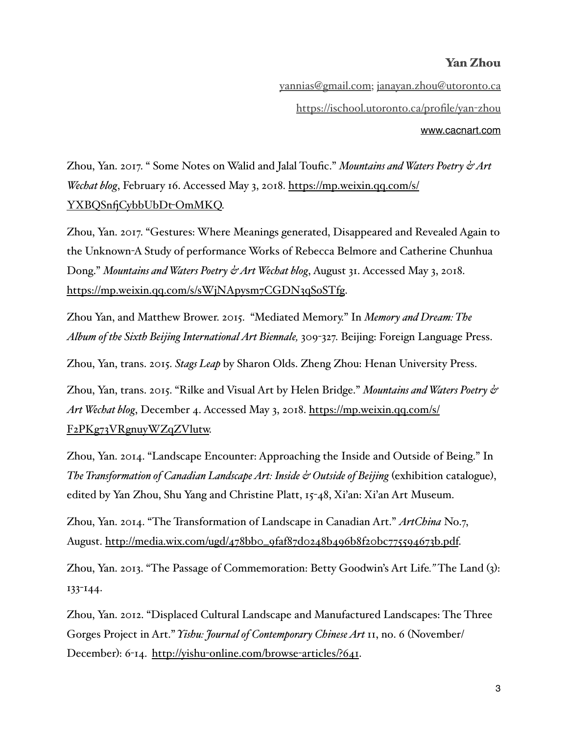[yannias@gmail.com](mailto:yannias@gmail.com); [janayan.zhou@utoronto.ca](mailto:janayan.zhou@utoronto.ca) [https://ischool.utoronto.ca/profile/yan](https://ischool.utoronto.ca/profile/yan-zhou)-zhou [www.cacnart.com](http://www.cacnart.com)

Zhou, Yan. 2017. " Some Notes on Walid and Jalal Toufic." *Mountains and Waters Poetry & Art Wechat blog*[, February 16. Accessed May 3, 2018. https://mp.weixin.qq.com/s/](https://mp.weixin.qq.com/s/YXBQSnfjCybbUbDt-OmMKQ) YXBQSnfCybbUbDt-OmMKQ.

Zhou, Yan. 2017. "Gestures: Where Meanings generated, Disappeared and Revealed Again to the Unknown-A Study of performance Works of Rebecca Belmore and Catherine Chunhua Dong." *Mountains and Waters Poetry & Art Wechat blog*, August 31. Accessed May 3, 2018. [https://mp.weixin.qq.com/s/sWjNApysm7CGDN3qSoSTfg.](https://mp.weixin.qq.com/s/sWjNApysm7CGDN3qSoSTfg)

Zhou Yan, and Matthew Brower. 2015. "Mediated Memory." In *Memory and Dream: The Album of the Sixth Beijing International Art Biennale,* 309-327. Beijing: Foreign Language Press.

Zhou, Yan, trans. 2015. *Stags Leap* by Sharon Olds. Zheng Zhou: Henan University Press.

Zhou, Yan, trans. 2015. "Rilke and Visual Art by Helen Bridge." *Mountains and Waters Poetry & Art Wechat blog*[, December 4. Accessed May 3, 2018. https://mp.weixin.qq.com/s/](https://mp.weixin.qq.com/s/F2PKg73VRgnuyWZqZVlutw) F2PKg73VRgnuyWZqZVlutw.

Zhou, Yan. 2014. "Landscape Encounter: Approaching the Inside and Outside of Being." In *The Transformation of Canadian Landscape Art: Inside & Outside of Beijing* (exhibition catalogue), edited by Yan Zhou, Shu Yang and Christine Platt, 15-48, Xi'an: Xi'an Art Museum.

Zhou, Yan. 2014. "The Transformation of Landscape in Canadian Art." *ArtChina* No.7, August. [http://media.wix.com/ugd/478bb0\\_9faf87d0248b496b8f20bc775594673b.pdf](http://media.wix.com/ugd/478bb0_9faf87d0248b496b8f20bc775594673b.pdf).

Zhou, Yan. 2013. "The Passage of Commemoration: Betty Goodwin's Art Life*."* The Land (3): 133-144.

Zhou, Yan. 2012. "Displaced Cultural Landscape and Manufactured Landscapes: The Three Gorges Project in Art." *Yishu: Journal of Contemporary Chinese Art* 11, no. 6 (November/ December): 6-14. http://yishu-[online.com/browse](http://yishu-online.com/browse-articles/?641)-articles/?641.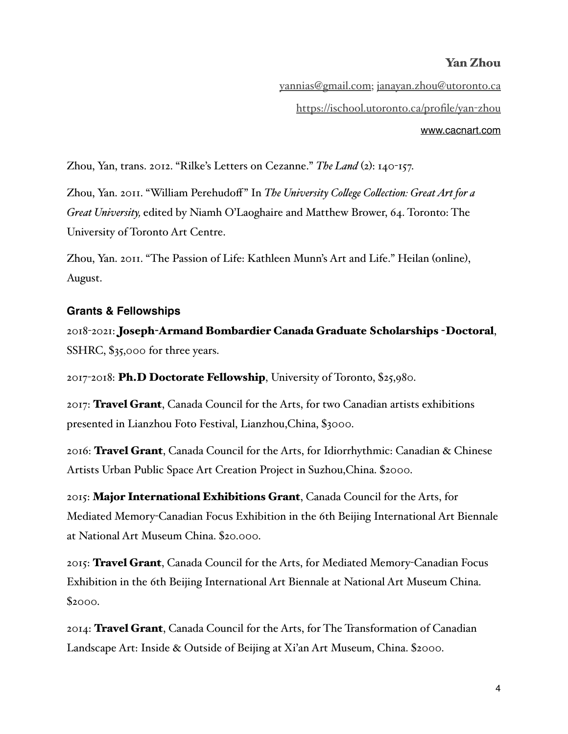[www.cacnart.com](http://www.cacnart.com)

[yannias@gmail.com](mailto:yannias@gmail.com); [janayan.zhou@utoronto.ca](mailto:janayan.zhou@utoronto.ca) [https://ischool.utoronto.ca/profile/yan](https://ischool.utoronto.ca/profile/yan-zhou)-zhou

Zhou, Yan, trans. 2012. "Rilke's Letters on Cezanne." *The Land* (2): 140-157.

Zhou, Yan. 2011. "William Perehudoff" In *The University Colege Colection: Great Art for a Great University,* edited by Niamh O'Laoghaire and Matthew Brower, 64. Toronto: The University of Toronto Art Centre.

Zhou, Yan. 2011. "The Passion of Life: Kathleen Munn's Art and Life." Heilan (online), August.

#### **Grants & Fellowships**

2018-2021: Joseph-Armand Bombardier Canada Graduate Scholarships -Doctoral, SSHRC, \$35,000 for three years.

2017-2018: Ph.D Doctorate Fellowship, University of Toronto, \$25,980.

2017: Travel Grant, Canada Council for the Arts, for two Canadian artists exhibitions presented in Lianzhou Foto Festival, Lianzhou,China, \$3000.

2016: Travel Grant, Canada Council for the Arts, for Idiorrhythmic: Canadian & Chinese Artists Urban Public Space Art Creation Project in Suzhou,China. \$2000.

2015: Major International Exhibitions Grant, Canada Council for the Arts, for Mediated Memory-Canadian Focus Exhibition in the 6th Beijing International Art Biennale at National Art Museum China. \$20.000.

2015: Travel Grant, Canada Council for the Arts, for Mediated Memory-Canadian Focus Exhibition in the 6th Beijing International Art Biennale at National Art Museum China. \$2000.

2014: Travel Grant, Canada Council for the Arts, for The Transformation of Canadian Landscape Art: Inside & Outside of Beijing at Xi'an Art Museum, China. \$2000.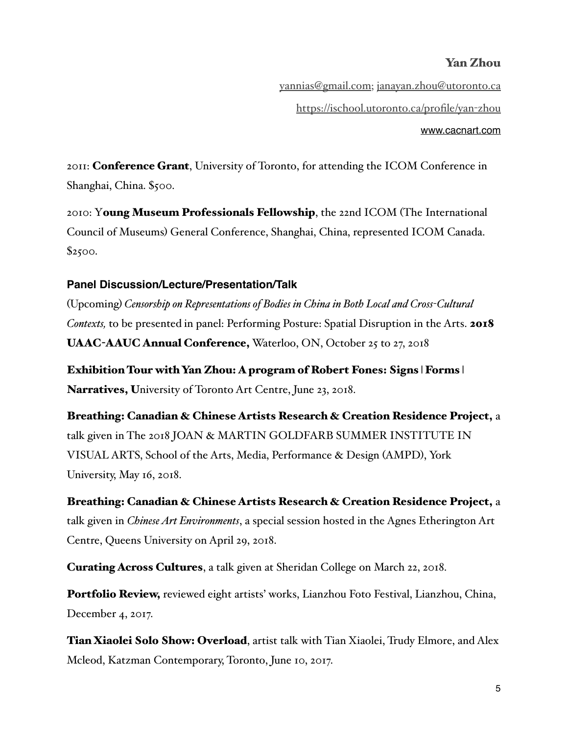[www.cacnart.com](http://www.cacnart.com)

[yannias@gmail.com](mailto:yannias@gmail.com); [janayan.zhou@utoronto.ca](mailto:janayan.zhou@utoronto.ca) [https://ischool.utoronto.ca/profile/yan](https://ischool.utoronto.ca/profile/yan-zhou)-zhou

2011: **Conference Grant**, University of Toronto, for attending the ICOM Conference in Shanghai, China. \$500.

2010: Young Museum Professionals Fellowship, the 22nd ICOM (The International Council of Museums) General Conference, Shanghai, China, represented ICOM Canada. \$2500.

# **Panel Discussion/Lecture/Presentation/Talk**

(Upcoming) *Censorship on Representations of Bodies in China in Both Local and Cross-Cultural Contexts,* to be presented in panel: Performing Posture: Spatial Disruption in the Arts. 2018 UAAC-AAUC Annual Conference, Waterloo, ON, October 25 to 27, 2018

Exhibition Tour with Yan Zhou: A program of Robert Fones: Signs | Forms | Narratives, University of Toronto Art Centre, June 23, 2018.

Breathing: Canadian & Chinese Artists Research & Creation Residence Project, a talk given in The 2018 JOAN & MARTIN GOLDFARB SUMMER INSTITUTE IN VISUAL ARTS, School of the Arts, Media, Performance & Design (AMPD), York University, May 16, 2018.

Breathing: Canadian & Chinese Artists Research & Creation Residence Project, a talk given in *Chinese Art Environments*, a special session hosted in the Agnes Etherington Art Centre, Queens University on April 29, 2018.

Curating Across Cultures, a talk given at Sheridan College on March 22, 2018.

Portfolio Review, reviewed eight artists' works, Lianzhou Foto Festival, Lianzhou, China, December 4, 2017.

**Tian Xiaolei Solo Show: Overload**, artist talk with Tian Xiaolei, Trudy Elmore, and Alex Mcleod, Katzman Contemporary, Toronto, June 10, 2017.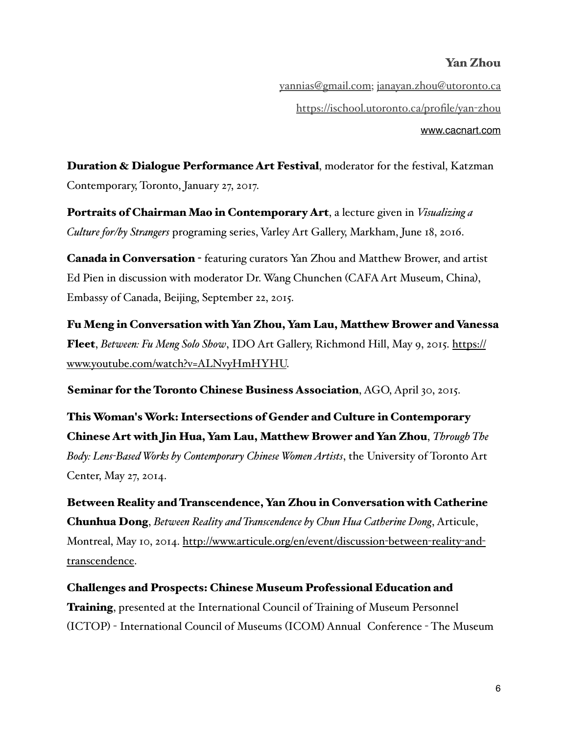[yannias@gmail.com](mailto:yannias@gmail.com); [janayan.zhou@utoronto.ca](mailto:janayan.zhou@utoronto.ca) [https://ischool.utoronto.ca/profile/yan](https://ischool.utoronto.ca/profile/yan-zhou)-zhou [www.cacnart.com](http://www.cacnart.com)

Duration & Dialogue Performance Art Festival, moderator for the festival, Katzman Contemporary, Toronto, January 27, 2017.

Portraits of Chairman Mao in Contemporary Art, a lecture given in *Visualizing a Culture for/by Strangers* programing series, Varley Art Gallery, Markham, June 18, 2016.

Canada in Conversation - featuring curators Yan Zhou and Matthew Brower, and artist Ed Pien in discussion with moderator Dr. Wang Chunchen (CAFA Art Museum, China), Embassy of Canada, Beijing, September 22, 2015.

Fu Meng in Conversation with Yan Zhou, Yam Lau, Matthew Brower and Vanessa Fleet, *Between: Fu Meng Solo Show*[, IDO Art Gallery, Richmond Hill, May 9, 2015. https://](https://www.youtube.com/watch?v=ALNvyHmHYHU) www.youtube.com/watch?v=ALNvyHmHYHU.

Seminar for the Toronto Chinese Business Association, AGO, April 30, 2015.

This Woman's Work: Intersections of Gender and Culture in Contemporary Chinese Art with Jin Hua, Yam Lau, Matthew Brower and Yan Zhou, *Through The Body: Lens-Based Works by Contemporary Chinese Women Artists*, the University of Toronto Art Center, May 27, 2014.

Between Reality and Transcendence, Yan Zhou in Conversation with Catherine Chunhua Dong, *Between Reality and Transcendence by Chun Hua Catherine Dong*, Articule, [Montreal, May 10, 2014. http://www.articule.org/en/event/discussion](http://www.articule.org/en/event/discussion-between-reality-and-transcendence)-between-reality-andtranscendence.

Challenges and Prospects: Chinese Museum Professional Education and **Training**, presented at the International Council of Training of Museum Personnel (ICTOP) - International Council of Museums (ICOM) Annual Conference - The Museum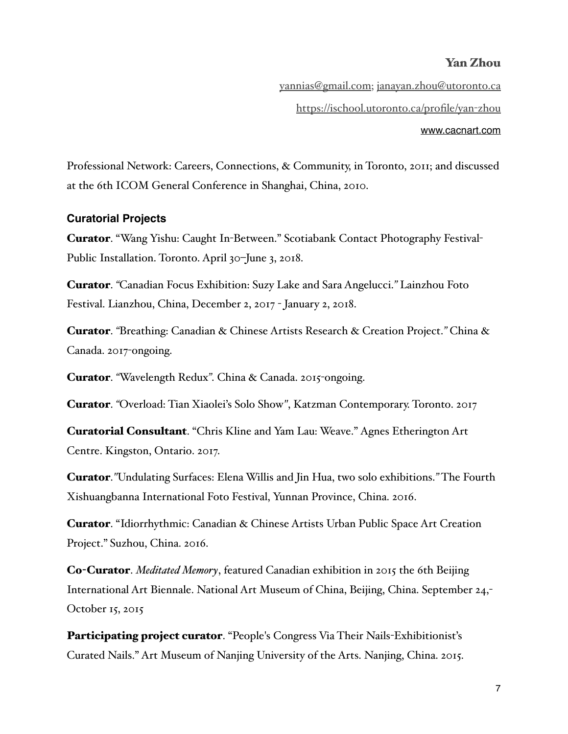[www.cacnart.com](http://www.cacnart.com)

[yannias@gmail.com](mailto:yannias@gmail.com); [janayan.zhou@utoronto.ca](mailto:janayan.zhou@utoronto.ca) [https://ischool.utoronto.ca/profile/yan](https://ischool.utoronto.ca/profile/yan-zhou)-zhou

Professional Network: Careers, Connections, & Community, in Toronto, 2011; and discussed at the 6th ICOM General Conference in Shanghai, China, 2010.

#### **Curatorial Projects**

Curator. "Wang Yishu: Caught In-Between." Scotiabank Contact Photography Festival-Public Installation. Toronto. April 30–June 3, 2018.

Curator. *"*Canadian Focus Exhibition: Suzy Lake and Sara Angelucci.*"* Lainzhou Foto Festival. Lianzhou, China, December 2, 2017 - January 2, 2018.

Curator. *"*Breathing: Canadian & Chinese Artists Research & Creation Project.*"* China & Canada. 2017-ongoing.

Curator. *"*Wavelength Redux*"*. China & Canada. 2015-ongoing.

Curator. *"*Overload: Tian Xiaolei's Solo Show*"*, Katzman Contemporary. Toronto. 2017

Curatorial Consultant. "Chris Kline and Yam Lau: Weave." Agnes Etherington Art Centre. Kingston, Ontario. 2017.

Curator.*"*Undulating Surfaces: Elena Willis and Jin Hua, two solo exhibitions.*"* The Fourth Xishuangbanna International Foto Festival, Yunnan Province, China. 2016.

Curator. "Idiorrhythmic: Canadian & Chinese Artists Urban Public Space Art Creation Project." Suzhou, China. 2016.

Co-Curator. *Meditated Memory*, featured Canadian exhibition in 2015 the 6th Beijing International Art Biennale. National Art Museum of China, Beijing, China. September 24,- October 15, 2015

Participating project curator. "People's Congress Via Their Nails-Exhibitionist's Curated Nails." Art Museum of Nanjing University of the Arts. Nanjing, China. 2015.